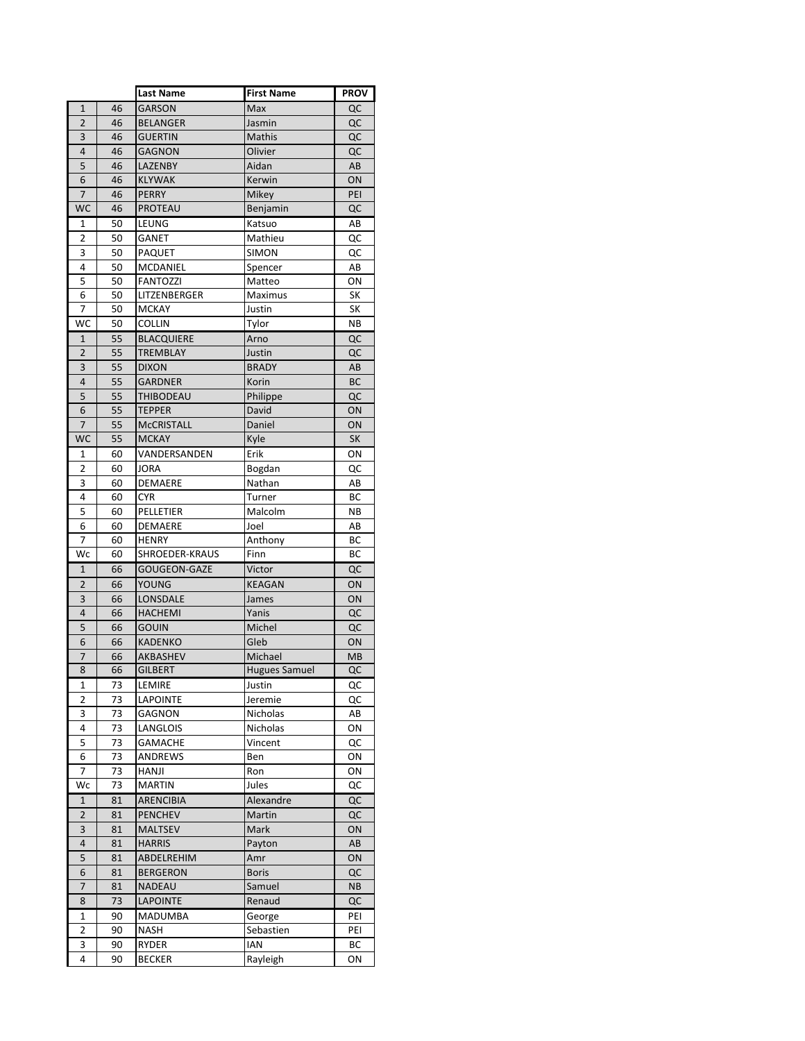|                         |    | <b>Last Name</b>    | <b>First Name</b>    | <b>PROV</b> |
|-------------------------|----|---------------------|----------------------|-------------|
| $\mathbf{1}$            | 46 | <b>GARSON</b>       | Max                  | QC          |
| $\overline{2}$          | 46 | <b>BELANGER</b>     | Jasmin               | QC          |
| $\overline{\mathbf{3}}$ | 46 | <b>GUERTIN</b>      | Mathis               | QC          |
| 4                       | 46 | <b>GAGNON</b>       | Olivier              | QC          |
| 5                       | 46 | LAZENBY             | Aidan                | AB          |
| 6                       | 46 | <b>KLYWAK</b>       | Kerwin               | ON          |
| $\overline{7}$          | 46 | <b>PERRY</b>        | Mikey                | PEI         |
| <b>WC</b>               | 46 | PROTEAU             | Benjamin             | QC          |
| 1                       | 50 | LEUNG               | Katsuo               | AB          |
| 2                       | 50 | <b>GANET</b>        | Mathieu              | QC          |
| 3                       | 50 | <b>PAQUET</b>       | simon                | QC          |
| 4                       | 50 | MCDANIEL            | Spencer              | AB          |
| 5                       | 50 | <b>FANTOZZI</b>     | Matteo               | ΟN          |
| 6                       | 50 | LITZENBERGER        | Maximus              | SK          |
| 7                       | 50 | <b>MCKAY</b>        | Justin               | SK          |
| WC                      | 50 | <b>COLLIN</b>       | Tylor                | <b>NB</b>   |
| $\mathbf{1}$            | 55 | <b>BLACQUIERE</b>   | Arno                 | QC          |
| 2                       | 55 | <b>TREMBLAY</b>     | Justin               | QC          |
| 3                       | 55 | <b>DIXON</b>        | <b>BRADY</b>         | AB          |
| 4                       | 55 | <b>GARDNER</b>      | Korin                | <b>BC</b>   |
| 5                       | 55 | THIBODEAU           | Philippe             | QC          |
| 6                       | 55 | <b>TEPPER</b>       | David                | ON          |
| 7                       | 55 | <b>MCCRISTALL</b>   | Daniel               | ON          |
| <b>WC</b>               | 55 | <b>MCKAY</b>        | Kyle                 | <b>SK</b>   |
| 1                       | 60 | VANDERSANDEN        | Erik                 | ΟN          |
| $\overline{\mathbf{c}}$ | 60 | <b>JORA</b>         | Bogdan               | QC          |
| 3                       | 60 | DEMAERE             | Nathan               | AB          |
| 4                       | 60 | <b>CYR</b>          | Turner               | ВC          |
| 5                       | 60 | PELLETIER           | Malcolm              | NΒ          |
| 6                       | 60 | DEMAERE             | Joel                 | AB          |
| 7                       | 60 | <b>HENRY</b>        | Anthony              | ВC          |
| Wc                      | 60 | SHROEDER-KRAUS      | Finn                 | ВC          |
| $\mathbf{1}$            | 66 | <b>GOUGEON-GAZE</b> | Victor               | QC          |
| 2                       | 66 | YOUNG               | KEAGAN               | ON          |
| 3                       | 66 | LONSDALE            | James                | ON          |
| 4                       | 66 | <b>HACHEMI</b>      | Yanis                | QC          |
| 5                       | 66 | <b>GOUIN</b>        | Michel               | QC          |
| 6                       | 66 | <b>KADENKO</b>      | Gleb                 | ON          |
| 7                       | 66 | AKBASHEV            | Michael              | MB          |
| 8                       | 66 | <b>GILBERT</b>      | <b>Hugues Samuel</b> | QC          |
| 1                       | 73 | LEMIRE              | Justin               | QC          |
| $\overline{2}$          | 73 | <b>LAPOINTE</b>     | Jeremie              | QC          |
| 3                       | 73 | GAGNON              | Nicholas             | AB          |
| 4                       | 73 | LANGLOIS            | Nicholas             | ON          |
| 5                       | 73 | <b>GAMACHE</b>      | Vincent              | QC          |
| 6                       | 73 | ANDREWS             | Ben                  | ON          |
| $\overline{7}$          | 73 | HANJI               | Ron                  | ON          |
| Wc                      | 73 | <b>MARTIN</b>       | Jules                | QC          |
| 1                       | 81 | <b>ARENCIBIA</b>    | Alexandre            | QC          |
| $\overline{2}$          | 81 | <b>PENCHEV</b>      | Martin               | QC          |
| 3                       | 81 | <b>MALTSEV</b>      | Mark                 | ON          |
| 4                       | 81 | <b>HARRIS</b>       | Payton               | AB          |
| 5                       | 81 | ABDELREHIM          | Amr                  | ON          |
| 6                       | 81 | <b>BERGERON</b>     | <b>Boris</b>         | QC          |
| 7                       | 81 | <b>NADEAU</b>       | Samuel               | NB          |
| 8                       | 73 | <b>LAPOINTE</b>     | Renaud               | QC          |
| 1                       | 90 | <b>MADUMBA</b>      | George               | PEI         |
| 2                       | 90 | NASH                | Sebastien            | PEI         |
| 3                       | 90 | RYDER               | IAN                  | ВC          |
| 4                       | 90 | <b>BECKER</b>       | Rayleigh             | ON          |